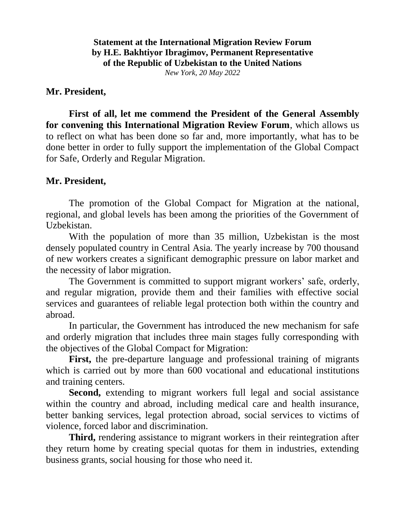**Statement at the International Migration Review Forum by H.E. Bakhtiyor Ibragimov, Permanent Representative of the Republic of Uzbekistan to the United Nations** *New York, 20 May 2022*

## **Mr. President,**

**First of all, let me commend the President of the General Assembly for convening this International Migration Review Forum**, which allows us to reflect on what has been done so far and, more importantly, what has to be done better in order to fully support the implementation of the Global Compact for Safe, Orderly and Regular Migration.

## **Mr. President,**

The promotion of the Global Compact for Migration at the national, regional, and global levels has been among the priorities of the Government of Uzbekistan.

With the population of more than 35 million, Uzbekistan is the most densely populated country in Central Asia. The yearly increase by 700 thousand of new workers creates a significant demographic pressure on labor market and the necessity of labor migration.

The Government is committed to support migrant workers' safe, orderly, and regular migration, provide them and their families with effective social services and guarantees of reliable legal protection both within the country and abroad.

In particular, the Government has introduced the new mechanism for safe and orderly migration that includes three main stages fully corresponding with the objectives of the Global Compact for Migration:

**First,** the pre-departure language and professional training of migrants which is carried out by more than 600 vocational and educational institutions and training centers.

**Second,** extending to migrant workers full legal and social assistance within the country and abroad, including medical care and health insurance, better banking services, legal protection abroad, social services to victims of violence, forced labor and discrimination.

**Third,** rendering assistance to migrant workers in their reintegration after they return home by creating special quotas for them in industries, extending business grants, social housing for those who need it.